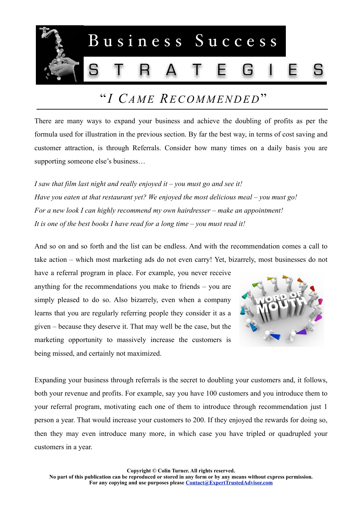

## " *I CAME RECOMMENDED* "

There are many ways to expand your business and achieve the doubling of profits as per the formula used for illustration in the previous section. By far the best way, in terms of cost saving and customer attraction, is through Referrals. Consider how many times on a daily basis you are supporting someone else's business…

*I saw that film last night and really enjoyed it – you must go and see it! Have you eaten at that restaurant yet? We enjoyed the most delicious meal – you must go! For a new look I can highly recommend my own hairdresser – make an appointment! It is one of the best books I have read for a long time – you must read it!*

And so on and so forth and the list can be endless. And with the recommendation comes a call to take action – which most marketing ads do not even carry! Yet, bizarrely, most businesses do not

have a referral program in place. For example, you never receive anything for the recommendations you make to friends – you are simply pleased to do so. Also bizarrely, even when a company learns that you are regularly referring people they consider it as a given – because they deserve it. That may well be the case, but the marketing opportunity to massively increase the customers is being missed, and certainly not maximized.



Expanding your business through referrals is the secret to doubling your customers and, it follows, both your revenue and profits. For example, say you have 100 customers and you introduce them to your referral program, motivating each one of them to introduce through recommendation just 1 person a year. That would increase your customers to 200. If they enjoyed the rewards for doing so, then they may even introduce many more, in which case you have tripled or quadrupled your customers in a year.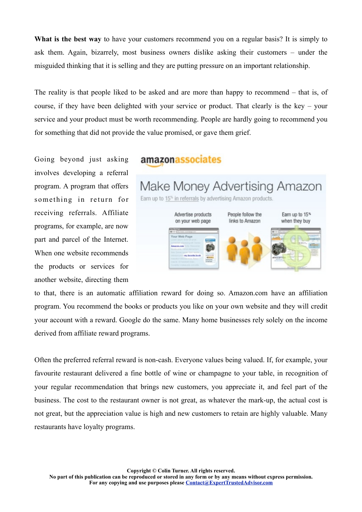**What is the best way** to have your customers recommend you on a regular basis? It is simply to ask them. Again, bizarrely, most business owners dislike asking their customers – under the misguided thinking that it is selling and they are putting pressure on an important relationship.

The reality is that people liked to be asked and are more than happy to recommend – that is, of course, if they have been delighted with your service or product. That clearly is the key – your service and your product must be worth recommending. People are hardly going to recommend you for something that did not provide the value promised, or gave them grief.

Going beyond just asking involves developing a referral program. A program that offers something in return for receiving referrals. Affiliate programs, for example, are now part and parcel of the Internet. When one website recommends the products or services for another website, directing them

## amazonassociates



to that, there is an automatic affiliation reward for doing so. Amazon.com have an affiliation program. You recommend the books or products you like on your own website and they will credit your account with a reward. Google do the same. Many home businesses rely solely on the income derived from affiliate reward programs.

Often the preferred referral reward is non-cash. Everyone values being valued. If, for example, your favourite restaurant delivered a fine bottle of wine or champagne to your table, in recognition of your regular recommendation that brings new customers, you appreciate it, and feel part of the business. The cost to the restaurant owner is not great, as whatever the mark-up, the actual cost is not great, but the appreciation value is high and new customers to retain are highly valuable. Many restaurants have loyalty programs.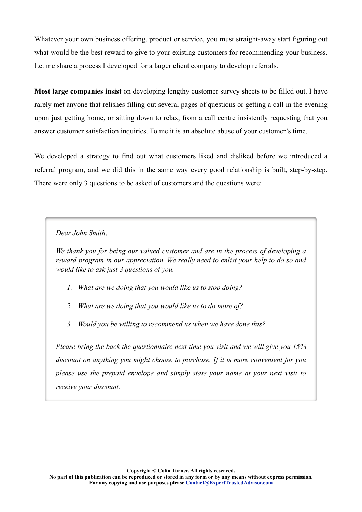Whatever your own business offering, product or service, you must straight-away start figuring out what would be the best reward to give to your existing customers for recommending your business. Let me share a process I developed for a larger client company to develop referrals.

**Most large companies insist** on developing lengthy customer survey sheets to be filled out. I have rarely met anyone that relishes filling out several pages of questions or getting a call in the evening upon just getting home, or sitting down to relax, from a call centre insistently requesting that you answer customer satisfaction inquiries. To me it is an absolute abuse of your customer's time.

We developed a strategy to find out what customers liked and disliked before we introduced a referral program, and we did this in the same way every good relationship is built, step-by-step. There were only 3 questions to be asked of customers and the questions were:

*Dear John Smith,*

*We thank you for being our valued customer and are in the process of developing a reward program in our appreciation. We really need to enlist your help to do so and would like to ask just 3 questions of you.*

- *1. What are we doing that you would like us to stop doing?*
- *2. What are we doing that you would like us to do more of?*
- *3. Would you be willing to recommend us when we have done this?*

*Please bring the back the questionnaire next time you visit and we will give you 15% discount on anything you might choose to purchase. If it is more convenient for you please use the prepaid envelope and simply state your name at your next visit to receive your discount.*